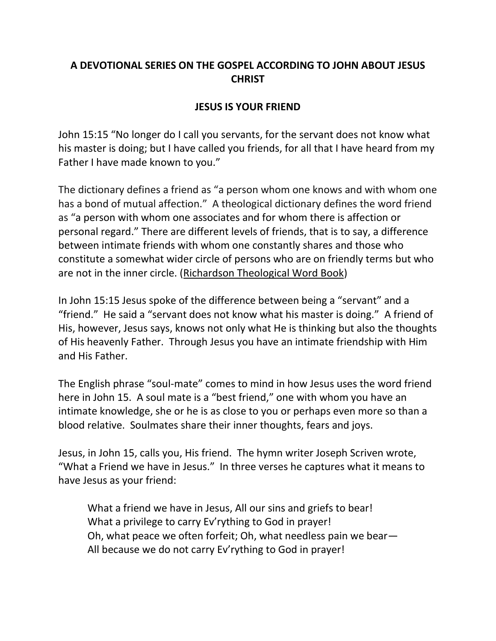## **A DEVOTIONAL SERIES ON THE GOSPEL ACCORDING TO JOHN ABOUT JESUS CHRIST**

## **JESUS IS YOUR FRIEND**

John 15:15 "No longer do I call you servants, for the servant does not know what his master is doing; but I have called you friends, for all that I have heard from my Father I have made known to you."

The dictionary defines a friend as "a person whom one knows and with whom one has a bond of mutual affection." A theological dictionary defines the word friend as "a person with whom one associates and for whom there is affection or personal regard." There are different levels of friends, that is to say, a difference between intimate friends with whom one constantly shares and those who constitute a somewhat wider circle of persons who are on friendly terms but who are not in the inner circle. (Richardson Theological Word Book)

In John 15:15 Jesus spoke of the difference between being a "servant" and a "friend." He said a "servant does not know what his master is doing." A friend of His, however, Jesus says, knows not only what He is thinking but also the thoughts of His heavenly Father. Through Jesus you have an intimate friendship with Him and His Father.

The English phrase "soul-mate" comes to mind in how Jesus uses the word friend here in John 15. A soul mate is a "best friend," one with whom you have an intimate knowledge, she or he is as close to you or perhaps even more so than a blood relative. Soulmates share their inner thoughts, fears and joys.

Jesus, in John 15, calls you, His friend. The hymn writer Joseph Scriven wrote, "What a Friend we have in Jesus." In three verses he captures what it means to have Jesus as your friend:

What a friend we have in Jesus, All our sins and griefs to bear! What a privilege to carry Ev'rything to God in prayer! Oh, what peace we often forfeit; Oh, what needless pain we bear— All because we do not carry Ev'rything to God in prayer!